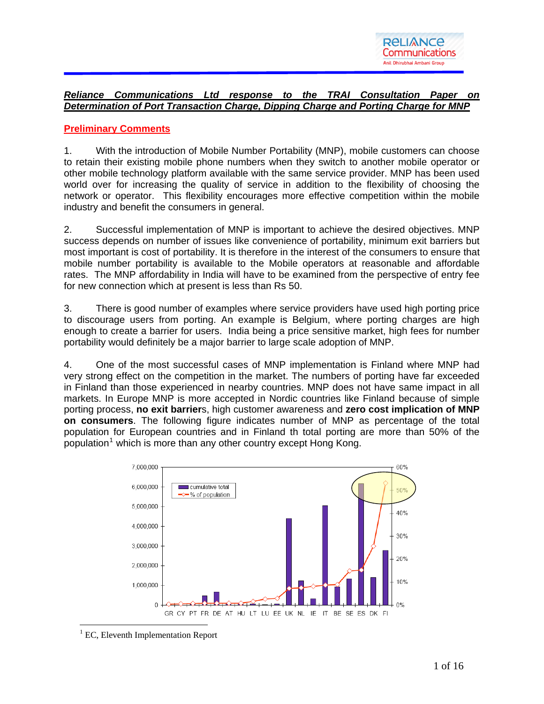

## *Reliance Communications Ltd response to the TRAI Consultation Paper on Determination of Port Transaction Charge, Dipping Charge and Porting Charge for MNP*

## **Preliminary Comments**

1. With the introduction of Mobile Number Portability (MNP), mobile customers can choose to retain their existing mobile phone numbers when they switch to another mobile operator or other mobile technology platform available with the same service provider. MNP has been used world over for increasing the quality of service in addition to the flexibility of choosing the network or operator. This flexibility encourages more effective competition within the mobile industry and benefit the consumers in general.

2. Successful implementation of MNP is important to achieve the desired objectives. MNP success depends on number of issues like convenience of portability, minimum exit barriers but most important is cost of portability. It is therefore in the interest of the consumers to ensure that mobile number portability is available to the Mobile operators at reasonable and affordable rates. The MNP affordability in India will have to be examined from the perspective of entry fee for new connection which at present is less than Rs 50.

3. There is good number of examples where service providers have used high porting price to discourage users from porting. An example is Belgium, where porting charges are high enough to create a barrier for users. India being a price sensitive market, high fees for number portability would definitely be a major barrier to large scale adoption of MNP.

4. One of the most successful cases of MNP implementation is Finland where MNP had very strong effect on the competition in the market. The numbers of porting have far exceeded in Finland than those experienced in nearby countries. MNP does not have same impact in all markets. In Europe MNP is more accepted in Nordic countries like Finland because of simple porting process, **no exit barrier**s, high customer awareness and **zero cost implication of MNP on consumers**. The following figure indicates number of MNP as percentage of the total population for European countries and in Finland th total porting are more than 50% of the population<sup>[1](#page-0-0)</sup> which is more than any other country except Hong Kong.



<span id="page-0-0"></span><sup>1</sup> EC, Eleventh Implementation Report

 $\overline{a}$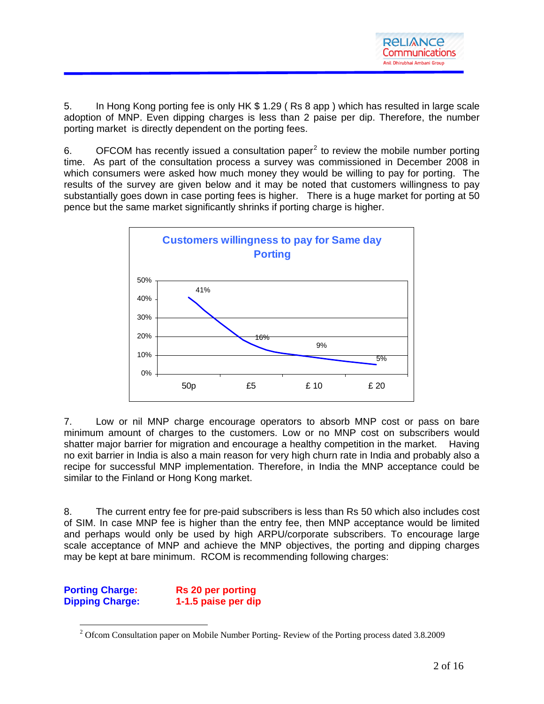5. In Hong Kong porting fee is only HK \$ 1.29 ( Rs 8 app ) which has resulted in large scale adoption of MNP. Even dipping charges is less than 2 paise per dip. Therefore, the number porting market is directly dependent on the porting fees.

6.  $OFCOM$  has recently issued a consultation paper<sup>[2](#page-1-0)</sup> to review the mobile number porting time. As part of the consultation process a survey was commissioned in December 2008 in which consumers were asked how much money they would be willing to pay for porting. The results of the survey are given below and it may be noted that customers willingness to pay substantially goes down in case porting fees is higher. There is a huge market for porting at 50 pence but the same market significantly shrinks if porting charge is higher.



7. Low or nil MNP charge encourage operators to absorb MNP cost or pass on bare minimum amount of charges to the customers. Low or no MNP cost on subscribers would shatter maior barrier for migration and encourage a healthy competition in the market. Having no exit barrier in India is also a main reason for very high churn rate in India and probably also a recipe for successful MNP implementation. Therefore, in India the MNP acceptance could be similar to the Finland or Hong Kong market.

8. The current entry fee for pre-paid subscribers is less than Rs 50 which also includes cost of SIM. In case MNP fee is higher than the entry fee, then MNP acceptance would be limited and perhaps would only be used by high ARPU/corporate subscribers. To encourage large scale acceptance of MNP and achieve the MNP objectives, the porting and dipping charges may be kept at bare minimum. RCOM is recommending following charges:

<span id="page-1-0"></span>**Porting Charge: Rs 20 per porting Dipping Charge: 1-1.5 paise per dip** 

 $\overline{a}$ 

<sup>&</sup>lt;sup>2</sup> Ofcom Consultation paper on Mobile Number Porting-Review of the Porting process dated 3.8.2009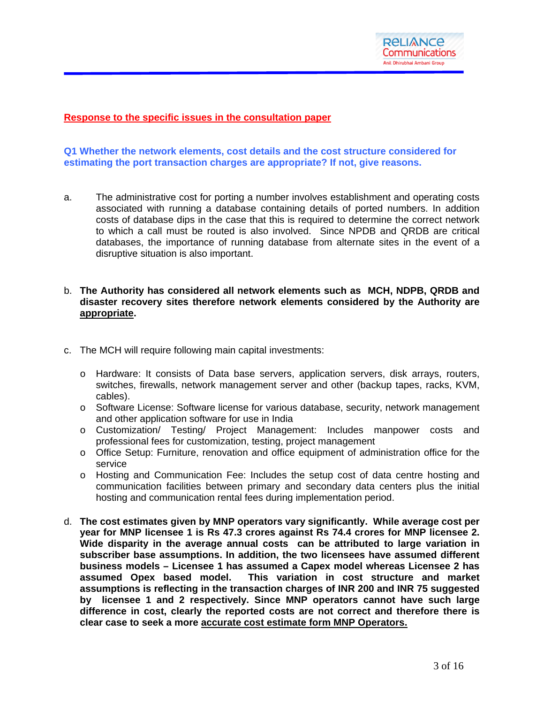

### **Response to the specific issues in the consultation paper**

### **Q1 Whether the network elements, cost details and the cost structure considered for estimating the port transaction charges are appropriate? If not, give reasons.**

a. The administrative cost for porting a number involves establishment and operating costs associated with running a database containing details of ported numbers. In addition costs of database dips in the case that this is required to determine the correct network to which a call must be routed is also involved. Since NPDB and QRDB are critical databases, the importance of running database from alternate sites in the event of a disruptive situation is also important.

### b. **The Authority has considered all network elements such as MCH, NDPB, QRDB and disaster recovery sites therefore network elements considered by the Authority are appropriate.**

- c. The MCH will require following main capital investments:
	- o Hardware: It consists of Data base servers, application servers, disk arrays, routers, switches, firewalls, network management server and other (backup tapes, racks, KVM, cables).
	- o Software License: Software license for various database, security, network management and other application software for use in India
	- o Customization/ Testing/ Project Management: Includes manpower costs and professional fees for customization, testing, project management
	- o Office Setup: Furniture, renovation and office equipment of administration office for the service
	- o Hosting and Communication Fee: Includes the setup cost of data centre hosting and communication facilities between primary and secondary data centers plus the initial hosting and communication rental fees during implementation period.
- d. **The cost estimates given by MNP operators vary significantly. While average cost per year for MNP licensee 1 is Rs 47.3 crores against Rs 74.4 crores for MNP licensee 2. Wide disparity in the average annual costs can be attributed to large variation in subscriber base assumptions. In addition, the two licensees have assumed different business models – Licensee 1 has assumed a Capex model whereas Licensee 2 has**  This variation in cost structure and market **assumptions is reflecting in the transaction charges of INR 200 and INR 75 suggested by licensee 1 and 2 respectively. Since MNP operators cannot have such large difference in cost, clearly the reported costs are not correct and therefore there is clear case to seek a more accurate cost estimate form MNP Operators.**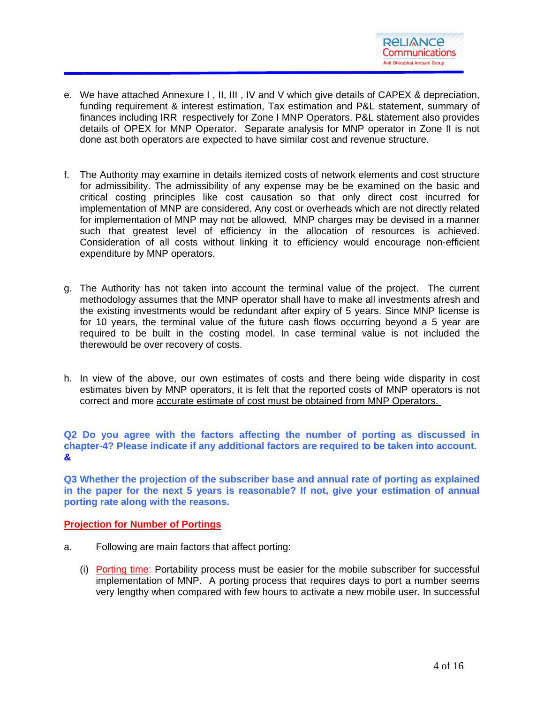- e. We have attached Annexure I , II, III , IV and V which give details of CAPEX & depreciation, funding requirement & interest estimation, Tax estimation and P&L statement, summary of finances including IRR respectively for Zone I MNP Operators. P&L statement also provides details of OPEX for MNP Operator. Separate analysis for MNP operator in Zone II is not done ast both operators are expected to have similar cost and revenue structure.
- f. The Authority may examine in details itemized costs of network elements and cost structure for admissibility. The admissibility of any expense may be be examined on the basic and critical costing principles like cost causation so that only direct cost incurred for implementation of MNP are considered. Any cost or overheads which are not directly related for implementation of MNP may not be allowed. MNP charges may be devised in a manner such that greatest level of efficiency in the allocation of resources is achieved. Consideration of all costs without linking it to efficiency would encourage non-efficient expenditure by MNP operators.
- g. The Authority has not taken into account the terminal value of the project. The current methodology assumes that the MNP operator shall have to make all investments afresh and the existing investments would be redundant after expiry of 5 years. Since MNP license is for 10 years, the terminal value of the future cash flows occurring beyond a 5 year are required to be built in the costing model. In case terminal value is not included the therewould be over recovery of costs.
- h. In view of the above, our own estimates of costs and there being wide disparity in cost estimates biven by MNP operators, it is felt that the reported costs of MNP operators is not correct and more accurate estimate of cost must be obtained from MNP Operators.

**Q2 Do you agree with the factors affecting the number of porting as discussed in chapter-4? Please indicate if any additional factors are required to be taken into account. &** 

**Q3 Whether the projection of the subscriber base and annual rate of porting as explained in the paper for the next 5 years is reasonable? If not, give your estimation of annual porting rate along with the reasons.**

### **Projection for Number of Portings**

- a. Following are main factors that affect porting:
	- (i) Porting time: Portability process must be easier for the mobile subscriber for successful implementation of MNP. A porting process that requires days to port a number seems very lengthy when compared with few hours to activate a new mobile user. In successful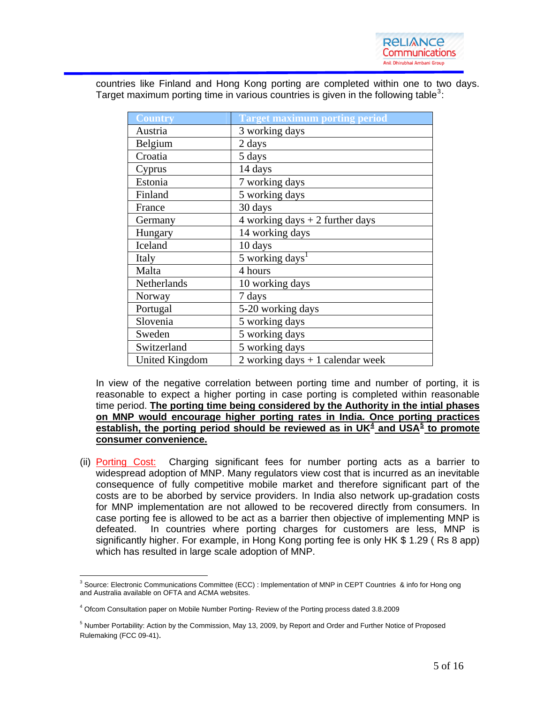

countries like Finland and Hong Kong porting are completed within one to two days. Target maximum porting time in various countries is given in the following table<sup>[3](#page-4-0)</sup>:

| <b>Country</b> | <b>Target maximum porting period</b> |
|----------------|--------------------------------------|
| Austria        | 3 working days                       |
| Belgium        | 2 days                               |
| Croatia        | 5 days                               |
| Cyprus         | 14 days                              |
| Estonia        | 7 working days                       |
| Finland        | 5 working days                       |
| France         | 30 days                              |
| Germany        | 4 working days $+2$ further days     |
| Hungary        | 14 working days                      |
| Iceland        | 10 days                              |
| Italy          | 5 working days <sup>1</sup>          |
| Malta          | 4 hours                              |
| Netherlands    | 10 working days                      |
| Norway         | 7 days                               |
| Portugal       | 5-20 working days                    |
| Slovenia       | 5 working days                       |
| Sweden         | 5 working days                       |
| Switzerland    | 5 working days                       |
| United Kingdom | 2 working days $+1$ calendar week    |

In view of the negative correlation between porting time and number of porting, it is reasonable to expect a higher porting in case porting is completed within reasonable time period. **The porting time being considered by the Authority in the intial phases on MNP would encourage higher porting rates in India. Once porting practices establish, the porting period should be reviewed as in UK[4](#page-4-1) and USA[5](#page-4-2) to promote consumer convenience.**

(ii) Porting Cost: Charging significant fees for number porting acts as a barrier to widespread adoption of MNP. Many regulators view cost that is incurred as an inevitable consequence of fully competitive mobile market and therefore significant part of the costs are to be aborbed by service providers. In India also network up-gradation costs for MNP implementation are not allowed to be recovered directly from consumers. In case porting fee is allowed to be act as a barrier then objective of implementing MNP is defeated. In countries where porting charges for customers are less, MNP is significantly higher. For example, in Hong Kong porting fee is only HK \$ 1.29 ( Rs 8 app) which has resulted in large scale adoption of MNP.

<span id="page-4-0"></span> $\overline{a}$ <sup>3</sup> Source: Electronic Communications Committee (ECC) : Implementation of MNP in CEPT Countries & info for Hong ong and Australia available on OFTA and ACMA websites.

<span id="page-4-1"></span><sup>4</sup> Ofcom Consultation paper on Mobile Number Porting- Review of the Porting process dated 3.8.2009

<span id="page-4-2"></span><sup>&</sup>lt;sup>5</sup> Number Portability: Action by the Commission, May 13, 2009, by Report and Order and Further Notice of Proposed Rulemaking (FCC 09-41).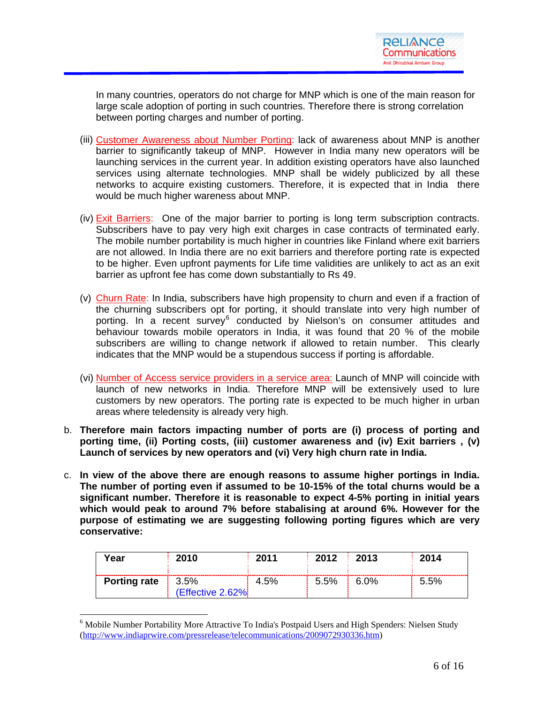

In many countries, operators do not charge for MNP which is one of the main reason for large scale adoption of porting in such countries. Therefore there is strong correlation between porting charges and number of porting.

- (iii) Customer Awareness about Number Porting: lack of awareness about MNP is another barrier to significantly takeup of MNP. However in India many new operators will be launching services in the current year. In addition existing operators have also launched services using alternate technologies. MNP shall be widely publicized by all these networks to acquire existing customers. Therefore, it is expected that in India there would be much higher wareness about MNP.
- (iv) Exit Barriers: One of the major barrier to porting is long term subscription contracts. Subscribers have to pay very high exit charges in case contracts of terminated early. The mobile number portability is much higher in countries like Finland where exit barriers are not allowed. In India there are no exit barriers and therefore porting rate is expected to be higher. Even upfront payments for Life time validities are unlikely to act as an exit barrier as upfront fee has come down substantially to Rs 49.
- (v) Churn Rate: In India, subscribers have high propensity to churn and even if a fraction of the churning subscribers opt for porting, it should translate into very high number of porting. In a recent survey<sup>[6](#page-5-0)</sup> conducted by Nielson's on consumer attitudes and behaviour towards mobile operators in India, it was found that 20 % of the mobile subscribers are willing to change network if allowed to retain number. This clearly indicates that the MNP would be a stupendous success if porting is affordable.
- (vi) Number of Access service providers in a service area: Launch of MNP will coincide with launch of new networks in India. Therefore MNP will be extensively used to lure customers by new operators. The porting rate is expected to be much higher in urban areas where teledensity is already very high.
- b. **Therefore main factors impacting number of ports are (i) process of porting and porting time, (ii) Porting costs, (iii) customer awareness and (iv) Exit barriers , (v) Launch of services by new operators and (vi) Very high churn rate in India.**
- c. **In view of the above there are enough reasons to assume higher portings in India. The number of porting even if assumed to be 10-15% of the total churns would be a significant number. Therefore it is reasonable to expect 4-5% porting in initial years which would peak to around 7% before stabalising at around 6%. However for the purpose of estimating we are suggesting following porting figures which are very conservative:**

| Year                | 2010                       | 2011 | $\pm 2012$ | 2013 | 2014 |
|---------------------|----------------------------|------|------------|------|------|
| <b>Porting rate</b> | 13.5%<br>(Effective 2.62%) | 4.5% | $5.5\%$    | 6.0% | 5.5% |

<span id="page-5-0"></span><sup>&</sup>lt;sup>6</sup> Mobile Number Portability More Attractive To India's Postpaid Users and High Spenders: Nielsen Study [\(http://www.indiaprwire.com/pressrelease/telecommunications/2009072930336.htm](http://www.indiaprwire.com/pressrelease/telecommunications/2009072930336.htm))

 $\overline{a}$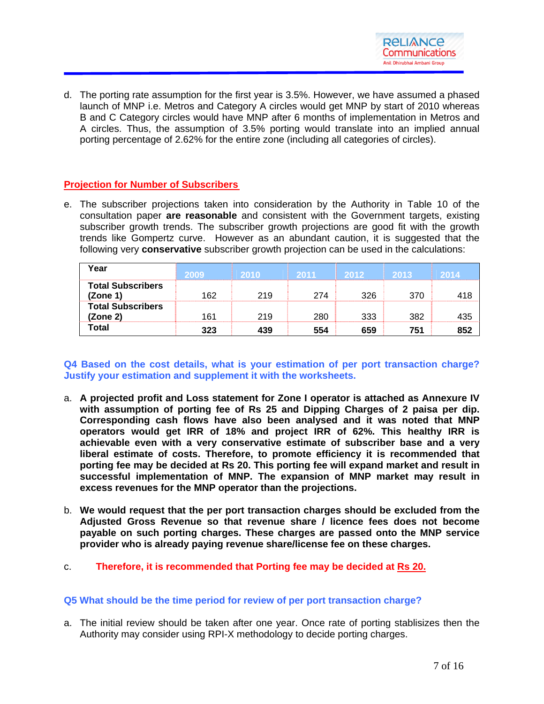

d. The porting rate assumption for the first year is 3.5%. However, we have assumed a phased launch of MNP i.e. Metros and Category A circles would get MNP by start of 2010 whereas B and C Category circles would have MNP after 6 months of implementation in Metros and A circles. Thus, the assumption of 3.5% porting would translate into an implied annual porting percentage of 2.62% for the entire zone (including all categories of circles).

## **Projection for Number of Subscribers**

e. The subscriber projections taken into consideration by the Authority in Table 10 of the consultation paper **are reasonable** and consistent with the Government targets, existing subscriber growth trends. The subscriber growth projections are good fit with the growth trends like Gompertz curve. However as an abundant caution, it is suggested that the following very **conservative** subscriber growth projection can be used in the calculations:

| Year                                 | 2009 | 2010 | 2011 | 2012 | 2013 | $2014^{\circ}$ |
|--------------------------------------|------|------|------|------|------|----------------|
| <b>Total Subscribers</b><br>(Zone 1) | 162  | 219  | 274  | 326  | 370  | 418            |
| <b>Total Subscribers</b><br>(Zone 2) | 161  | 219  | 280  | 333  | 382  | 435            |
| Total                                | 323  | 439  | 554  | 659  | 751  | 852            |

**Q4 Based on the cost details, what is your estimation of per port transaction charge? Justify your estimation and supplement it with the worksheets.** 

- a. **A projected profit and Loss statement for Zone I operator is attached as Annexure IV with assumption of porting fee of Rs 25 and Dipping Charges of 2 paisa per dip. Corresponding cash flows have also been analysed and it was noted that MNP operators would get IRR of 18% and project IRR of 62%. This healthy IRR is achievable even with a very conservative estimate of subscriber base and a very liberal estimate of costs. Therefore, to promote efficiency it is recommended that porting fee may be decided at Rs 20. This porting fee will expand market and result in successful implementation of MNP. The expansion of MNP market may result in excess revenues for the MNP operator than the projections.**
- b. **We would request that the per port transaction charges should be excluded from the Adjusted Gross Revenue so that revenue share / licence fees does not become payable on such porting charges. These charges are passed onto the MNP service provider who is already paying revenue share/license fee on these charges.**
- c. **Therefore, it is recommended that Porting fee may be decided at Rs 20.**

### **Q5 What should be the time period for review of per port transaction charge?**

a. The initial review should be taken after one year. Once rate of porting stablisizes then the Authority may consider using RPI-X methodology to decide porting charges.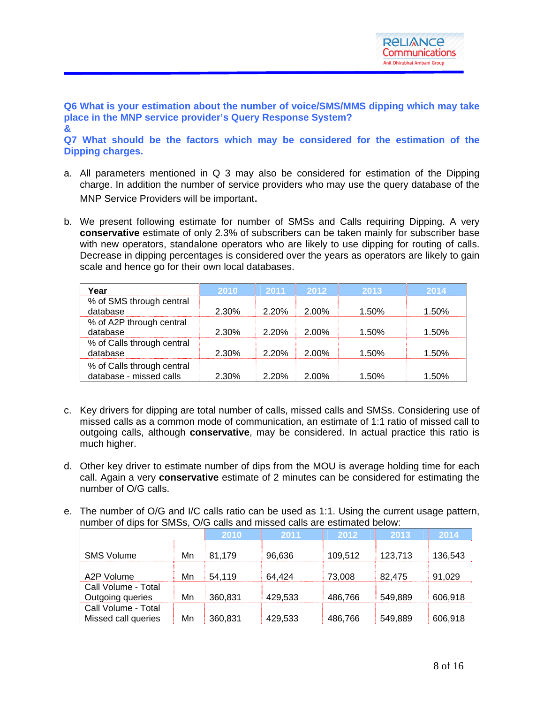**Q6 What is your estimation about the number of voice/SMS/MMS dipping which may take place in the MNP service provider's Query Response System? &** 

**Q7 What should be the factors which may be considered for the estimation of the Dipping charges.** 

- a. All parameters mentioned in Q 3 may also be considered for estimation of the Dipping charge. In addition the number of service providers who may use the query database of the MNP Service Providers will be important.
- b. We present following estimate for number of SMSs and Calls requiring Dipping. A very **conservative** estimate of only 2.3% of subscribers can be taken mainly for subscriber base with new operators, standalone operators who are likely to use dipping for routing of calls. Decrease in dipping percentages is considered over the years as operators are likely to gain scale and hence go for their own local databases.

| Year                                                  | 2010  | 2011  | 2012  | 2013  | 2014  |
|-------------------------------------------------------|-------|-------|-------|-------|-------|
| % of SMS through central<br>database                  | 2.30% | 2.20% | 2.00% | 1.50% | 1.50% |
| % of A2P through central<br>database                  | 2.30% | 2.20% | 2.00% | 1.50% | 1.50% |
| % of Calls through central<br>database                | 2.30% | 2.20% | 2.00% | 1.50% | 1.50% |
| % of Calls through central<br>database - missed calls | 2.30% | 2.20% | 2.00% | 1.50% | 1.50% |

- c. Key drivers for dipping are total number of calls, missed calls and SMSs. Considering use of missed calls as a common mode of communication, an estimate of 1:1 ratio of missed call to outgoing calls, although **conservative**, may be considered. In actual practice this ratio is much higher.
- d. Other key driver to estimate number of dips from the MOU is average holding time for each call. Again a very **conservative** estimate of 2 minutes can be considered for estimating the number of O/G calls.
- e. The number of O/G and I/C calls ratio can be used as 1:1. Using the current usage pattern, number of dips for SMSs, O/G calls and missed calls are estimated below:

|                                            |    | 2010    | 2011    | 2012    | 2013    | 2014    |
|--------------------------------------------|----|---------|---------|---------|---------|---------|
| <b>SMS Volume</b>                          | Mn | 81.179  | 96,636  | 109,512 | 123,713 | 136,543 |
| A2P Volume                                 | Mn | 54,119  | 64,424  | 73,008  | 82.475  | 91,029  |
| Call Volume - Total<br>Outgoing queries    | Mn | 360,831 | 429,533 | 486,766 | 549,889 | 606,918 |
| Call Volume - Total<br>Missed call queries | Mn | 360,831 | 429,533 | 486,766 | 549,889 | 606,918 |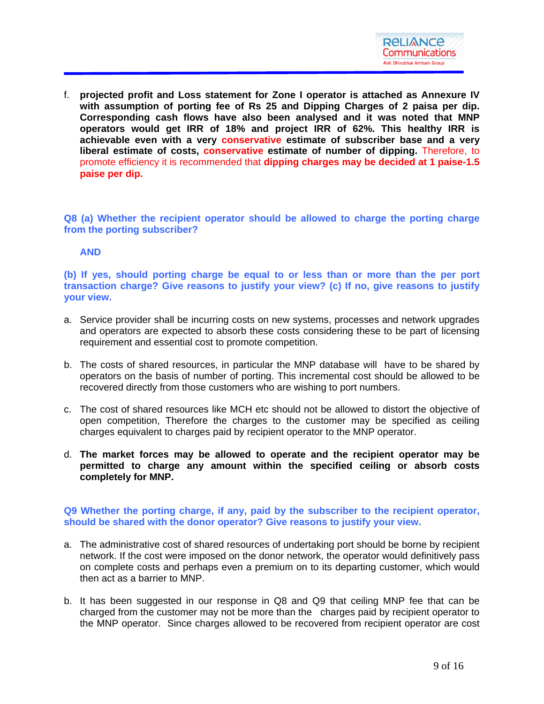

f. **projected profit and Loss statement for Zone I operator is attached as Annexure IV with assumption of porting fee of Rs 25 and Dipping Charges of 2 paisa per dip. Corresponding cash flows have also been analysed and it was noted that MNP operators would get IRR of 18% and project IRR of 62%. This healthy IRR is achievable even with a very conservative estimate of subscriber base and a very liberal estimate of costs, conservative estimate of number of dipping.** Therefore, to promote efficiency it is recommended that **dipping charges may be decided at 1 paise-1.5 paise per dip.** 

**Q8 (a) Whether the recipient operator should be allowed to charge the porting charge from the porting subscriber?** 

### **AND**

**(b) If yes, should porting charge be equal to or less than or more than the per port transaction charge? Give reasons to justify your view? (c) If no, give reasons to justify your view.** 

- a. Service provider shall be incurring costs on new systems, processes and network upgrades and operators are expected to absorb these costs considering these to be part of licensing requirement and essential cost to promote competition.
- b. The costs of shared resources, in particular the MNP database will have to be shared by operators on the basis of number of porting. This incremental cost should be allowed to be recovered directly from those customers who are wishing to port numbers.
- c. The cost of shared resources like MCH etc should not be allowed to distort the objective of open competition, Therefore the charges to the customer may be specified as ceiling charges equivalent to charges paid by recipient operator to the MNP operator.
- d. **The market forces may be allowed to operate and the recipient operator may be permitted to charge any amount within the specified ceiling or absorb costs completely for MNP.**

**Q9 Whether the porting charge, if any, paid by the subscriber to the recipient operator, should be shared with the donor operator? Give reasons to justify your view.**

- a. The administrative cost of shared resources of undertaking port should be borne by recipient network. If the cost were imposed on the donor network, the operator would definitively pass on complete costs and perhaps even a premium on to its departing customer, which would then act as a barrier to MNP.
- b. It has been suggested in our response in Q8 and Q9 that ceiling MNP fee that can be charged from the customer may not be more than the charges paid by recipient operator to the MNP operator. Since charges allowed to be recovered from recipient operator are cost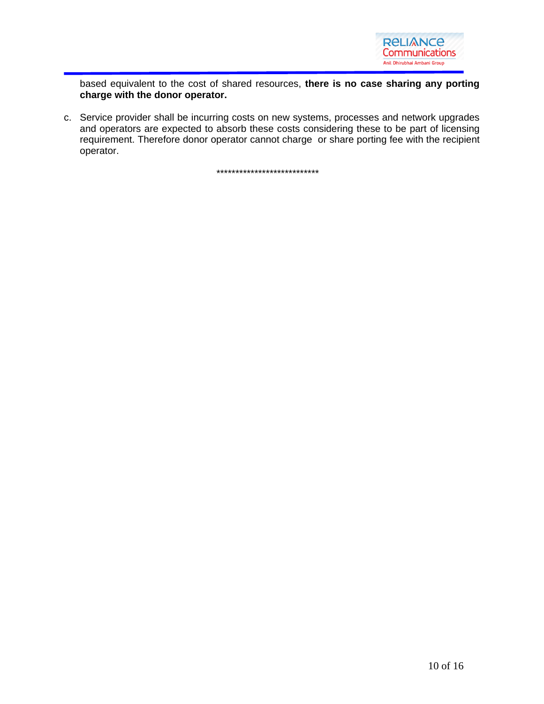

based equivalent to the cost of shared resources, **there is no case sharing any porting charge with the donor operator.**

c. Service provider shall be incurring costs on new systems, processes and network upgrades and operators are expected to absorb these costs considering these to be part of licensing requirement. Therefore donor operator cannot charge or share porting fee with the recipient operator.

\*\*\*\*\*\*\*\*\*\*\*\*\*\*\*\*\*\*\*\*\*\*\*\*\*\*\*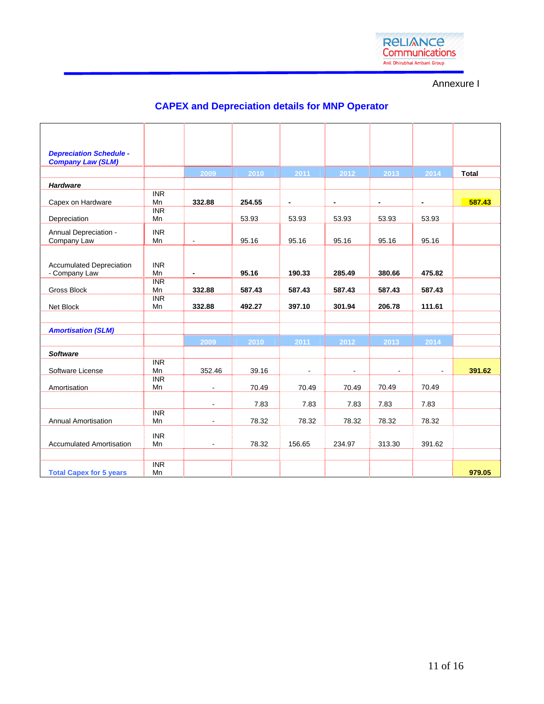

Annexure I

# **CAPEX and Depreciation details for MNP Operator**

| <b>Depreciation Schedule -</b><br><b>Company Law (SLM)</b> |                  |                          |        |                |                |                |                          |              |
|------------------------------------------------------------|------------------|--------------------------|--------|----------------|----------------|----------------|--------------------------|--------------|
|                                                            |                  | 2009                     | 2010   | 2011           | 2012           | 2013           | 2014                     | <b>Total</b> |
| <b>Hardware</b>                                            |                  |                          |        |                |                |                |                          |              |
| Capex on Hardware                                          | <b>INR</b><br>Mn | 332.88                   | 254.55 | $\blacksquare$ | $\blacksquare$ | $\blacksquare$ | $\overline{\phantom{a}}$ | 587.43       |
| Depreciation                                               | <b>INR</b><br>Mn |                          | 53.93  | 53.93          | 53.93          | 53.93          | 53.93                    |              |
| Annual Depreciation -<br>Company Law                       | <b>INR</b><br>Mn | $\blacksquare$           | 95.16  | 95.16          | 95.16          | 95.16          | 95.16                    |              |
| <b>Accumulated Depreciation</b><br>- Company Law           | <b>INR</b><br>Mn | $\overline{\phantom{0}}$ | 95.16  | 190.33         | 285.49         | 380.66         | 475.82                   |              |
| Gross Block                                                | <b>INR</b><br>Mn | 332.88                   | 587.43 | 587.43         | 587.43         | 587.43         | 587.43                   |              |
| Net Block                                                  | <b>INR</b><br>Mn | 332.88                   | 492.27 | 397.10         | 301.94         | 206.78         | 111.61                   |              |
|                                                            |                  |                          |        |                |                |                |                          |              |
| <b>Amortisation (SLM)</b>                                  |                  |                          |        |                |                |                |                          |              |
|                                                            |                  | 2009                     | 2010   | 2011           | 2012           | 2013           | 2014                     |              |
| <b>Software</b>                                            |                  |                          |        |                |                |                |                          |              |
| Software License                                           | <b>INR</b><br>Mn | 352.46                   | 39.16  |                |                |                | $\blacksquare$           | 391.62       |
| Amortisation                                               | <b>INR</b><br>Mn |                          | 70.49  | 70.49          | 70.49          | 70.49          | 70.49                    |              |
|                                                            |                  | $\blacksquare$           | 7.83   | 7.83           | 7.83           | 7.83           | 7.83                     |              |
| Annual Amortisation                                        | <b>INR</b><br>Mn |                          | 78.32  | 78.32          | 78.32          | 78.32          | 78.32                    |              |
| <b>Accumulated Amortisation</b>                            | <b>INR</b><br>Mn | $\blacksquare$           | 78.32  | 156.65         | 234.97         | 313.30         | 391.62                   |              |
|                                                            |                  |                          |        |                |                |                |                          |              |
| <b>Total Capex for 5 years</b>                             | <b>INR</b><br>Mn |                          |        |                |                |                |                          | 979.05       |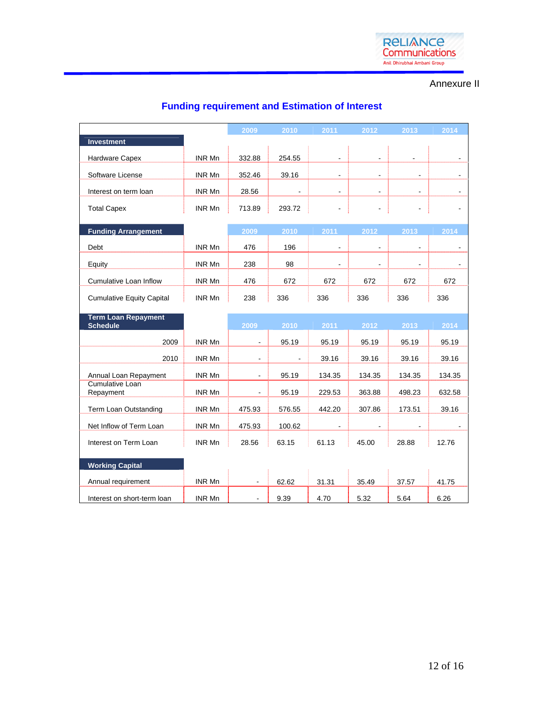

## Annexure II

# **Funding requirement and Estimation of Interest**

|                                     |               | 2009   | 2010           | 2011           | 2012           | 2013           | 2014           |
|-------------------------------------|---------------|--------|----------------|----------------|----------------|----------------|----------------|
| <b>Investment</b>                   |               |        |                |                |                |                |                |
| Hardware Capex                      | INR Mn        | 332.88 | 254.55         |                |                |                |                |
| Software License                    | INR Mn        | 352.46 | 39.16          | ä,             | $\blacksquare$ | ÷              |                |
| Interest on term loan               | INR Mn        | 28.56  | $\blacksquare$ | $\blacksquare$ | $\blacksquare$ | $\sim$         | $\blacksquare$ |
| <b>Total Capex</b>                  | INR Mn        | 713.89 | 293.72         |                |                |                |                |
|                                     |               |        |                |                |                |                |                |
| <b>Funding Arrangement</b>          |               | 2009   | 2010           | 2011           | 2012           | 2013           | 2014           |
| Debt                                | INR Mn        | 476    | 196            |                |                |                | $\blacksquare$ |
| Equity                              | INR Mn        | 238    | 98             |                |                |                |                |
| <b>Cumulative Loan Inflow</b>       | INR Mn        | 476    | 672            | 672            | 672            | 672            | 672            |
| <b>Cumulative Equity Capital</b>    | <b>INR Mn</b> | 238    | 336            | 336            | 336            | 336            | 336            |
| <b>Term Loan Repayment</b>          |               |        |                |                |                |                |                |
| <b>Schedule</b>                     |               | 2009   | 2010           | 2011           | 2012           | 2013           | 2014           |
| 2009                                | INR Mn        |        | 95.19          | 95.19          | 95.19          | 95.19          | 95.19          |
| 2010                                | INR Mn        | ÷      |                | 39.16          | 39.16          | 39.16          | 39.16          |
| Annual Loan Repayment               | INR Mn        | ٠      | 95.19          | 134.35         | 134.35         | 134.35         | 134.35         |
| <b>Cumulative Loan</b><br>Repayment | INR Mn        |        | 95.19          | 229.53         | 363.88         | 498.23         | 632.58         |
| Term Loan Outstanding               | INR Mn        | 475.93 | 576.55         | 442.20         | 307.86         | 173.51         | 39.16          |
| Net Inflow of Term Loan             | INR Mn        | 475.93 | 100.62         | $\blacksquare$ |                | $\overline{a}$ |                |
| Interest on Term Loan               | INR Mn        | 28.56  | 63.15          | 61.13          | 45.00          | 28.88          | 12.76          |
| <b>Working Capital</b>              |               |        |                |                |                |                |                |
| Annual requirement                  | INR Mn        |        | 62.62          | 31.31          | 35.49          | 37.57          | 41.75          |
| Interest on short-term loan         | INR Mn        |        | 9.39           | 4.70           | 5.32           | 5.64           | 6.26           |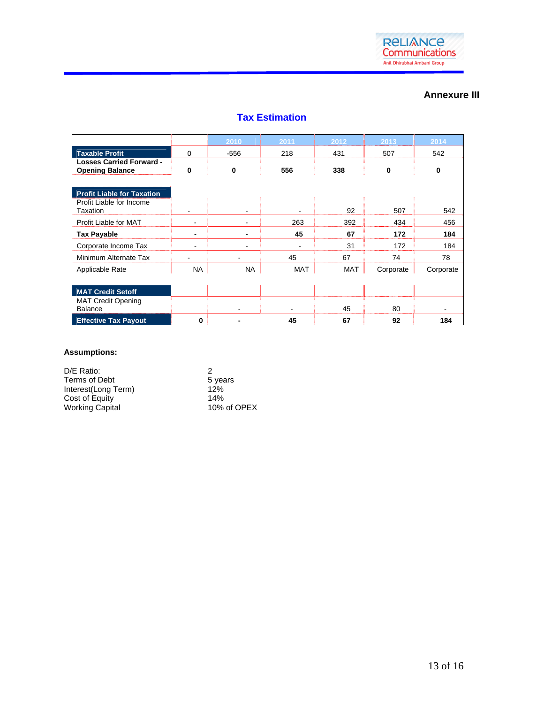

### **Annexure III**

| <b>Tax Estimation</b> |  |
|-----------------------|--|
|                       |  |

|                                                           |             | 2010      | 2011 | 2012       | 2013      | 2014      |
|-----------------------------------------------------------|-------------|-----------|------|------------|-----------|-----------|
| <b>Taxable Profit</b>                                     | $\mathbf 0$ | $-556$    | 218  | 431        | 507       | 542       |
| <b>Losses Carried Forward -</b><br><b>Opening Balance</b> | 0           | 0         | 556  | 338        | 0         | 0         |
|                                                           |             |           |      |            |           |           |
| <b>Profit Liable for Taxation</b>                         |             |           |      |            |           |           |
| Profit Liable for Income<br>Taxation                      |             |           |      | 92         | 507       | 542       |
| Profit Liable for MAT                                     | ۰           |           | 263  | 392        | 434       | 456       |
| <b>Tax Payable</b>                                        | -           | -         | 45   | 67         | 172       | 184       |
| Corporate Income Tax                                      | ۰           |           |      | 31         | 172       | 184       |
| Minimum Alternate Tax                                     | -           |           | 45   | 67         | 74        | 78        |
| Applicable Rate                                           | <b>NA</b>   | <b>NA</b> | MAT  | <b>MAT</b> | Corporate | Corporate |
|                                                           |             |           |      |            |           |           |
| <b>MAT Credit Setoff</b>                                  |             |           |      |            |           |           |
| <b>MAT Credit Opening</b><br><b>Balance</b>               |             |           |      | 45         | 80        |           |
| <b>Effective Tax Payout</b>                               | $\bf{0}$    |           | 45   | 67         | 92        | 184       |

#### **Assumptions:**

| D/E Ratio:             | 2           |
|------------------------|-------------|
| Terms of Debt          | 5 years     |
| Interest(Long Term)    | 12%         |
| Cost of Equity         | 14%         |
| <b>Working Capital</b> | 10% of OPEX |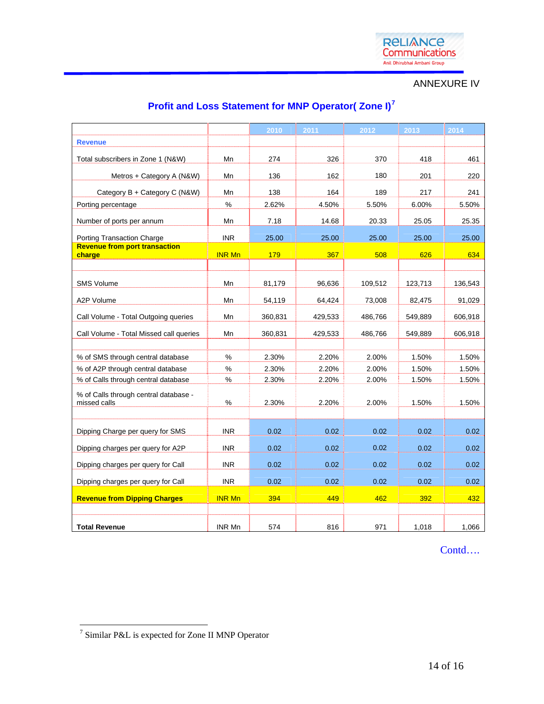

ANNEXURE IV

# **Profit and Loss Statement for MNP Operator( Zone I)[7](#page-13-0)**

|                                                       |               | 2010    | 2011    | 2012    | 2013    | 2014    |
|-------------------------------------------------------|---------------|---------|---------|---------|---------|---------|
| <b>Revenue</b>                                        |               |         |         |         |         |         |
| Total subscribers in Zone 1 (N&W)                     | Mn            | 274     | 326     | 370     | 418     | 461     |
| Metros + Category A (N&W)                             | Mn            | 136     | 162     | 180     | 201     | 220     |
| Category B + Category C (N&W)                         | Mn            | 138     | 164     | 189     | 217     | 241     |
| Porting percentage                                    | %             | 2.62%   | 4.50%   | 5.50%   | 6.00%   | 5.50%   |
| Number of ports per annum                             | Mn            | 7.18    | 14.68   | 20.33   | 25.05   | 25.35   |
| <b>Porting Transaction Charge</b>                     | <b>INR</b>    | 25.00   | 25.00   | 25.00   | 25.00   | 25.00   |
| <b>Revenue from port transaction</b><br>charge        | <b>INR Mn</b> | 179     | 367     | 508     | 626     | 634     |
|                                                       |               |         |         |         |         |         |
| <b>SMS Volume</b>                                     | Mn            | 81,179  | 96,636  | 109.512 | 123.713 | 136,543 |
| A2P Volume                                            | Mn            | 54,119  | 64,424  | 73,008  | 82,475  | 91,029  |
| Call Volume - Total Outgoing queries                  | Mn            | 360,831 | 429,533 | 486,766 | 549,889 | 606,918 |
| Call Volume - Total Missed call queries               | Mn            | 360,831 | 429,533 | 486,766 | 549,889 | 606,918 |
|                                                       |               |         |         |         |         |         |
| % of SMS through central database                     | $\%$          | 2.30%   | 2.20%   | 2.00%   | 1.50%   | 1.50%   |
| % of A2P through central database                     | $\%$          | 2.30%   | 2.20%   | 2.00%   | 1.50%   | 1.50%   |
| % of Calls through central database                   | %             | 2.30%   | 2.20%   | 2.00%   | 1.50%   | 1.50%   |
| % of Calls through central database -<br>missed calls | $\%$          | 2.30%   | 2.20%   | 2.00%   | 1.50%   | 1.50%   |
|                                                       |               |         |         |         |         |         |
| Dipping Charge per query for SMS                      | <b>INR</b>    | 0.02    | 0.02    | 0.02    | 0.02    | 0.02    |
| Dipping charges per query for A2P                     | <b>INR</b>    | 0.02    | 0.02    | 0.02    | 0.02    | 0.02    |
| Dipping charges per query for Call                    | <b>INR</b>    | 0.02    | 0.02    | 0.02    | 0.02    | 0.02    |
| Dipping charges per query for Call                    | <b>INR</b>    | 0.02    | 0.02    | 0.02    | 0.02    | 0.02    |
| <b>Revenue from Dipping Charges</b>                   | <b>INR Mn</b> | 394     | 449     | 462     | 392     | 432     |
|                                                       |               |         |         |         |         |         |
| <b>Total Revenue</b>                                  | INR Mn        | 574     | 816     | 971     | 1,018   | 1,066   |

Contd….

<span id="page-13-0"></span> 7 Similar P&L is expected for Zone II MNP Operator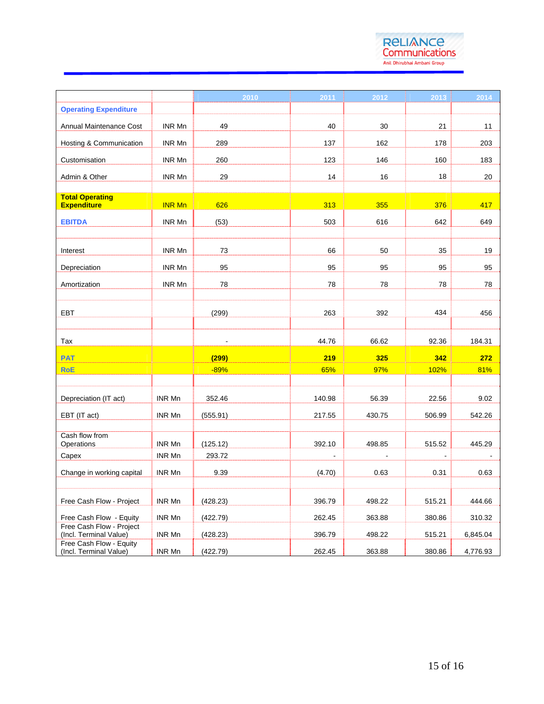

|                                                    |               | 2010                     | 2011           | 2012           | 2013           | 2014     |
|----------------------------------------------------|---------------|--------------------------|----------------|----------------|----------------|----------|
| <b>Operating Expenditure</b>                       |               |                          |                |                |                |          |
| Annual Maintenance Cost                            | <b>INR Mn</b> | 49                       | 40             | 30             | 21             | 11       |
| Hosting & Communication                            | INR Mn        | 289                      | 137            | 162            | 178            | 203      |
| Customisation                                      | INR Mn        | 260                      | 123            | 146            | 160            | 183      |
| Admin & Other                                      | INR Mn        | 29                       | 14             | 16             | 18             | 20       |
|                                                    |               |                          |                |                |                |          |
| <b>Total Operating</b><br><b>Expenditure</b>       | <b>INR Mn</b> | 626                      | 313            | 355            | 376            | 417      |
| <b>EBITDA</b>                                      | INR Mn        | (53)                     | 503            | 616            | 642            | 649      |
| Interest                                           | INR Mn        | 73                       | 66             | 50             | 35             | 19       |
| Depreciation                                       | INR Mn        | 95                       | 95             | 95             | 95             | 95       |
| Amortization                                       | INR Mn        | 78                       | 78             | 78             | 78             | 78       |
|                                                    |               |                          |                |                |                |          |
| <b>EBT</b>                                         |               | (299)                    | 263            | 392            | 434            | 456      |
|                                                    |               |                          |                |                |                |          |
| Tax                                                |               | $\overline{\phantom{a}}$ | 44.76          | 66.62          | 92.36          | 184.31   |
| <b>PAT</b>                                         |               | (299)                    | 219            | 325            | 342            | 272      |
| <b>RoE</b>                                         |               | $-89%$                   | 65%            | 97%            | 102%           | 81%      |
|                                                    |               |                          |                |                |                |          |
| Depreciation (IT act)                              | INR Mn        | 352.46                   | 140.98         | 56.39          | 22.56          | 9.02     |
| EBT (IT act)                                       | INR Mn        | (555.91)                 | 217.55         | 430.75         | 506.99         | 542.26   |
| Cash flow from                                     |               |                          |                |                |                |          |
| Operations                                         | INR Mn        | (125.12)                 | 392.10         | 498.85         | 515.52         | 445.29   |
| Capex                                              | INR Mn        | 293.72                   | $\blacksquare$ | $\blacksquare$ | $\blacksquare$ |          |
| Change in working capital                          | INR Mn        | 9.39                     | (4.70)         | 0.63           | 0.31           | 0.63     |
|                                                    |               |                          |                |                |                |          |
| Free Cash Flow - Project                           | INR Mn        | (428.23)                 | 396.79         | 498.22         | 515.21         | 444.66   |
| Free Cash Flow - Equity                            | INR Mn        | (422.79)                 | 262.45         | 363.88         | 380.86         | 310.32   |
| Free Cash Flow - Project<br>(Incl. Terminal Value) | INR Mn        | (428.23)                 | 396.79         | 498.22         | 515.21         | 6,845.04 |
| Free Cash Flow - Equity<br>(Incl. Terminal Value)  | INR Mn        | (422.79)                 | 262.45         | 363.88         | 380.86         | 4,776.93 |